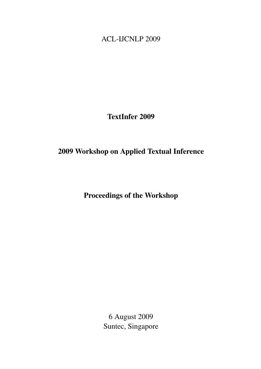<span id="page-0-0"></span>ACL-IJCNLP 2009

TextInfer 2009

# 2009 Workshop on Applied Textual Inference

Proceedings of the Workshop

6 August 2009 Suntec, Singapore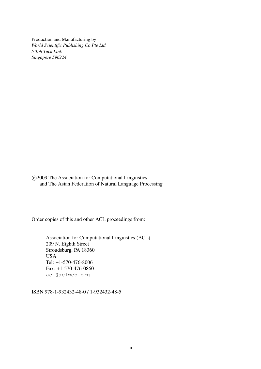Production and Manufacturing by *World Scientific Publishing Co Pte Ltd 5 Toh Tuck Link Singapore 596224*

 c 2009 The Association for Computational Linguistics and The Asian Federation of Natural Language Processing

Order copies of this and other ACL proceedings from:

Association for Computational Linguistics (ACL) 209 N. Eighth Street Stroudsburg, PA 18360 USA Tel: +1-570-476-8006 Fax: +1-570-476-0860 acl@aclweb.org

ISBN 978-1-932432-48-0 / 1-932432-48-5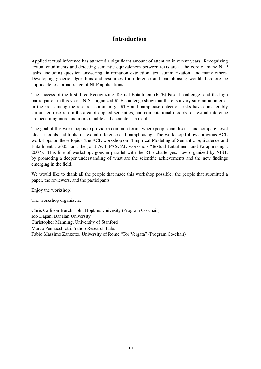## Introduction

Applied textual inference has attracted a significant amount of attention in recent years. Recognizing textual entailments and detecting semantic equivalences between texts are at the core of many NLP tasks, including question answering, information extraction, text summarization, and many others. Developing generic algorithms and resources for inference and paraphrasing would therefore be applicable to a broad range of NLP applications.

The success of the first three Recognizing Textual Entailment (RTE) Pascal challenges and the high participation in this year's NIST-organized RTE challenge show that there is a very substantial interest in the area among the research community. RTE and paraphrase detection tasks have considerably stimulated research in the area of applied semantics, and computational models for textual inference are becoming more and more reliable and accurate as a result.

The goal of this workshop is to provide a common forum where people can discuss and compare novel ideas, models and tools for textual inference and paraphrasing. The workshop follows previous ACL workshops on these topics (the ACL workshop on "Empirical Modeling of Semantic Equivalence and Entailment", 2005, and the joint ACL-PASCAL workshop "Textual Entailment and Paraphrasing", 2007). This line of workshops goes in parallel with the RTE challenges, now organized by NIST, by promoting a deeper understanding of what are the scientific achievements and the new findings emerging in the field.

We would like to thank all the people that made this workshop possible: the people that submitted a paper, the reviewers, and the participants.

Enjoy the workshop!

The workshop organizers,

Chris Callison-Burch, John Hopkins Univesity (Program Co-chair) Ido Dagan, Bar Ilan University Christopher Manning, University of Stanford Marco Pennacchiotti, Yahoo Research Labs Fabio Massimo Zanzotto, University of Rome "Tor Vergata" (Program Co-chair)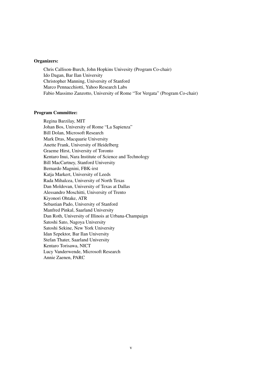#### Organizers:

Chris Callison-Burch, John Hopkins Univesity (Program Co-chair) Ido Dagan, Bar Ilan University Christopher Manning, University of Stanford Marco Pennacchiotti, Yahoo Research Labs Fabio Massimo Zanzotto, University of Rome "Tor Vergata" (Program Co-chair)

#### Program Committee:

Regina Barzilay, MIT Johan Bos, University of Rome "La Sapienza" Bill Dolan, Microsoft Research Mark Dras, Macquarie University Anette Frank, University of Heidelberg Graeme Hirst, University of Toronto Kentaro Inui, Nara Institute of Science and Technology Bill MacCartney, Stanford University Bernardo Magnini, FBK-irst Katja Markert, University of Leeds Rada Mihalcea, University of North Texas Dan Moldovan, University of Texas at Dallas Alessandro Moschitti, University of Trento Kiyonori Ohtake, ATR Sebastian Pado, University of Stanford Manfred Pinkal, Saarland University Dan Roth, University of Illinois at Urbana-Champaign Satoshi Sato, Nagoya University Satoshi Sekine, New York University Idan Szpektor, Bar Ilan University Stefan Thater, Saarland University Kentaro Torisawa, NICT Lucy Vanderwende, Microsoft Research Annie Zaenen, PARC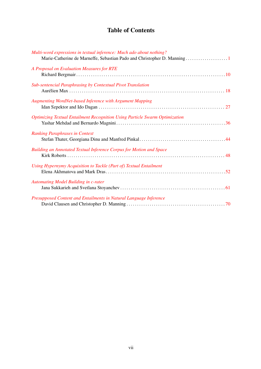# Table of Contents

| Multi-word expressions in textual inference: Much ado about nothing?<br>Marie-Catherine de Marneffe, Sebastian Pado and Christopher D. Manning 1 |
|--------------------------------------------------------------------------------------------------------------------------------------------------|
| A Proposal on Evaluation Measures for RTE                                                                                                        |
| Sub-sentencial Paraphrasing by Contextual Pivot Translation                                                                                      |
| <b>Augmenting WordNet-based Inference with Argument Mapping</b>                                                                                  |
| <b>Optimizing Textual Entailment Recognition Using Particle Swarm Optimization</b>                                                               |
| <b>Ranking Paraphrases in Context</b>                                                                                                            |
| <b>Building an Annotated Textual Inference Corpus for Motion and Space</b>                                                                       |
| Using Hypernymy Acquisition to Tackle (Part of) Textual Entailment                                                                               |
| Automating Model Building in c-rater                                                                                                             |
| Presupposed Content and Entailments in Natural Language Inference                                                                                |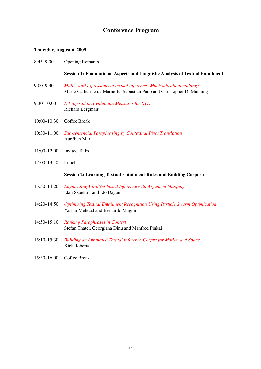# Conference Program

### Thursday, August 6, 2009

| $8:45 - 9:00$   | <b>Opening Remarks</b>                                                                                                                         |
|-----------------|------------------------------------------------------------------------------------------------------------------------------------------------|
|                 | <b>Session 1: Foundational Aspects and Linguistic Analysis of Textual Entailment</b>                                                           |
| $9:00 - 9:30$   | Multi-word expressions in textual inference: Much ado about nothing?<br>Marie-Catherine de Marneffe, Sebastian Pado and Christopher D. Manning |
| $9:30 - 10:00$  | A Proposal on Evaluation Measures for RTE<br>Richard Bergmair                                                                                  |
| $10:00 - 10:30$ | Coffee Break                                                                                                                                   |
| $10:30 - 11:00$ | Sub-sentencial Paraphrasing by Contextual Pivot Translation<br>Aurélien Max                                                                    |
| $11:00 - 12:00$ | <b>Invited Talks</b>                                                                                                                           |
| $12:00 - 13.50$ | Lunch                                                                                                                                          |
|                 | <b>Session 2: Learning Textual Entailment Rules and Building Corpora</b>                                                                       |
| 13:50-14:20     | <b>Augmenting WordNet-based Inference with Argument Mapping</b><br>Idan Szpektor and Ido Dagan                                                 |
| $14:20 - 14:50$ | <b>Optimizing Textual Entailment Recognition Using Particle Swarm Optimization</b><br>Yashar Mehdad and Bernardo Magnini                       |
| $14:50 - 15:10$ | <b>Ranking Paraphrases in Context</b><br>Stefan Thater, Georgiana Dinu and Manfred Pinkal                                                      |
| $15:10 - 15:30$ | Building an Annotated Textual Inference Corpus for Motion and Space<br><b>Kirk Roberts</b>                                                     |
| $15:30 - 16:00$ | Coffee Break                                                                                                                                   |